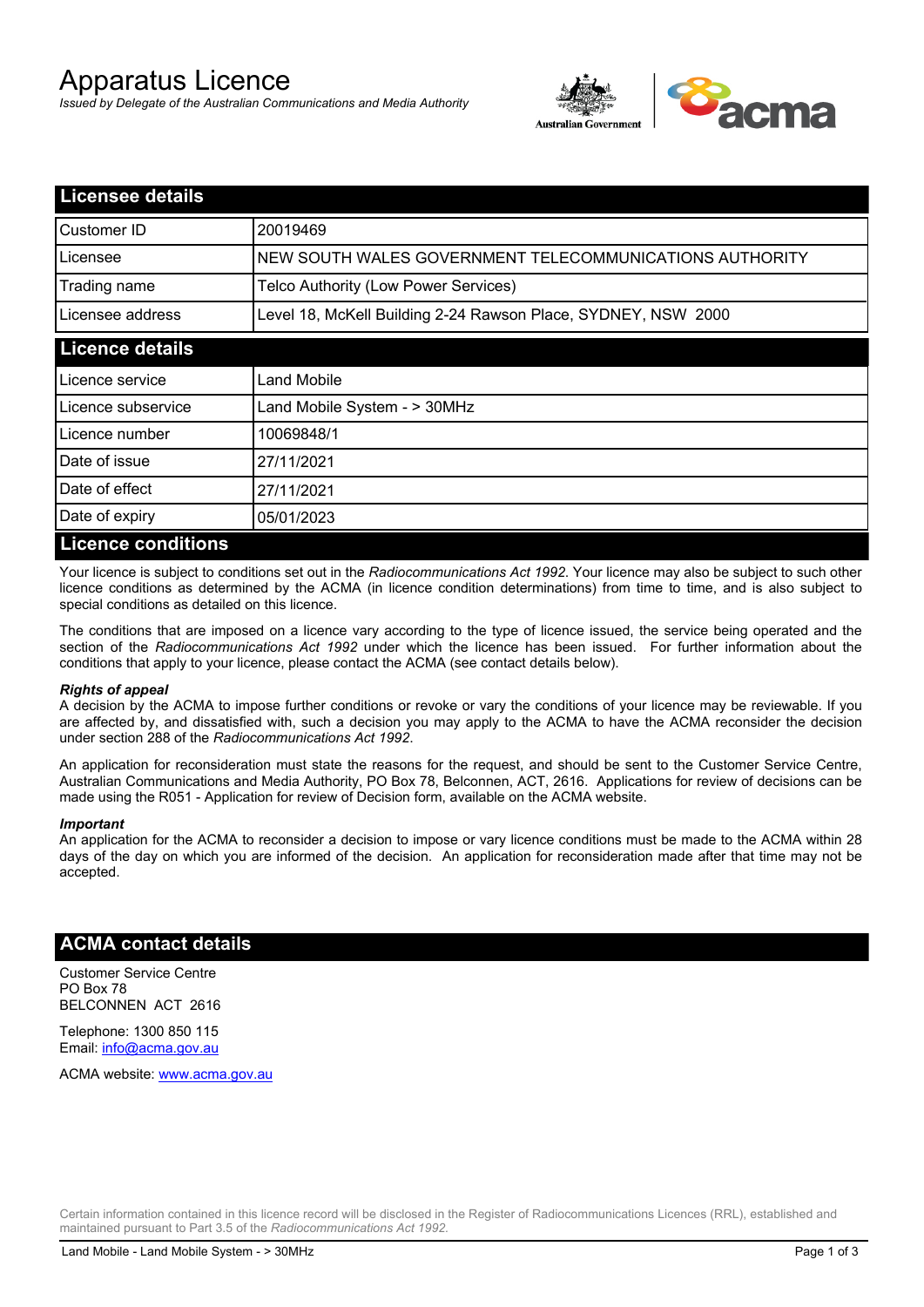# Apparatus Licence

*Issued by Delegate of the Australian Communications and Media Authority*



| <b>Licensee details</b>   |                                                               |  |
|---------------------------|---------------------------------------------------------------|--|
| Customer ID               | 20019469                                                      |  |
| Licensee                  | NEW SOUTH WALES GOVERNMENT TELECOMMUNICATIONS AUTHORITY       |  |
| Trading name              | Telco Authority (Low Power Services)                          |  |
| Licensee address          | Level 18, McKell Building 2-24 Rawson Place, SYDNEY, NSW 2000 |  |
| <b>Licence details</b>    |                                                               |  |
| l Licence service         | Land Mobile                                                   |  |
| Licence subservice        | Land Mobile System - > 30MHz                                  |  |
| Licence number            | 10069848/1                                                    |  |
| Date of issue             | 27/11/2021                                                    |  |
| Date of effect            | 27/11/2021                                                    |  |
| Date of expiry            | 05/01/2023                                                    |  |
| <b>Licence conditions</b> |                                                               |  |

Your licence is subject to conditions set out in the *Radiocommunications Act 1992*. Your licence may also be subject to such other licence conditions as determined by the ACMA (in licence condition determinations) from time to time, and is also subject to special conditions as detailed on this licence.

The conditions that are imposed on a licence vary according to the type of licence issued, the service being operated and the section of the *Radiocommunications Act 1992* under which the licence has been issued. For further information about the conditions that apply to your licence, please contact the ACMA (see contact details below).

#### *Rights of appeal*

A decision by the ACMA to impose further conditions or revoke or vary the conditions of your licence may be reviewable. If you are affected by, and dissatisfied with, such a decision you may apply to the ACMA to have the ACMA reconsider the decision under section 288 of the *Radiocommunications Act 1992*.

An application for reconsideration must state the reasons for the request, and should be sent to the Customer Service Centre, Australian Communications and Media Authority, PO Box 78, Belconnen, ACT, 2616. Applications for review of decisions can be made using the R051 - Application for review of Decision form, available on the ACMA website.

#### *Important*

An application for the ACMA to reconsider a decision to impose or vary licence conditions must be made to the ACMA within 28 days of the day on which you are informed of the decision. An application for reconsideration made after that time may not be accepted.

### **ACMA contact details**

Customer Service Centre PO Box 78 BELCONNEN ACT 2616

Telephone: 1300 850 115 Email: info@acma.gov.au

ACMA website: www.acma.gov.au

Certain information contained in this licence record will be disclosed in the Register of Radiocommunications Licences (RRL), established and maintained pursuant to Part 3.5 of the *Radiocommunications Act 1992.*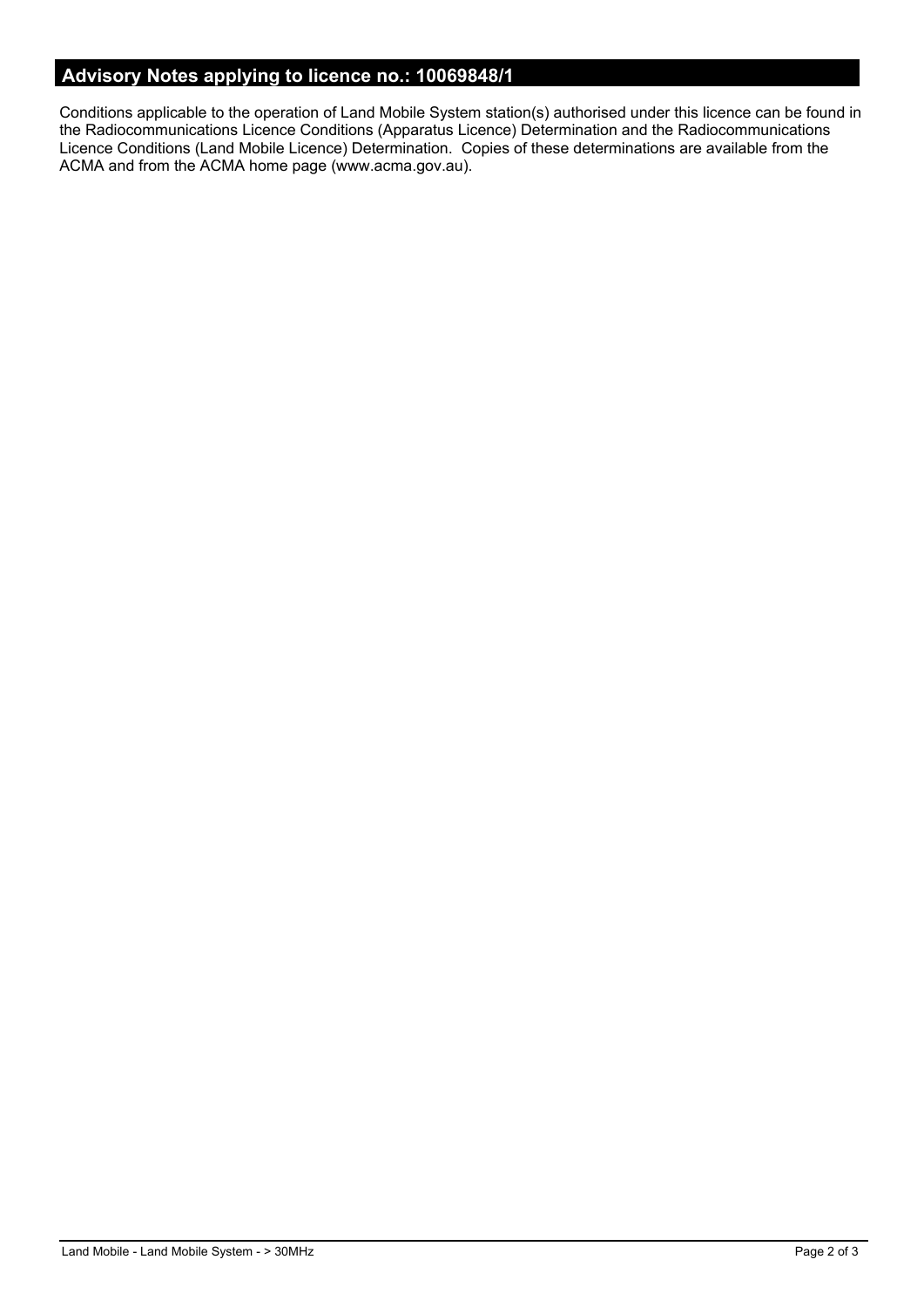# **Advisory Notes applying to licence no.: 10069848/1**

Conditions applicable to the operation of Land Mobile System station(s) authorised under this licence can be found in the Radiocommunications Licence Conditions (Apparatus Licence) Determination and the Radiocommunications Licence Conditions (Land Mobile Licence) Determination. Copies of these determinations are available from the ACMA and from the ACMA home page (www.acma.gov.au).